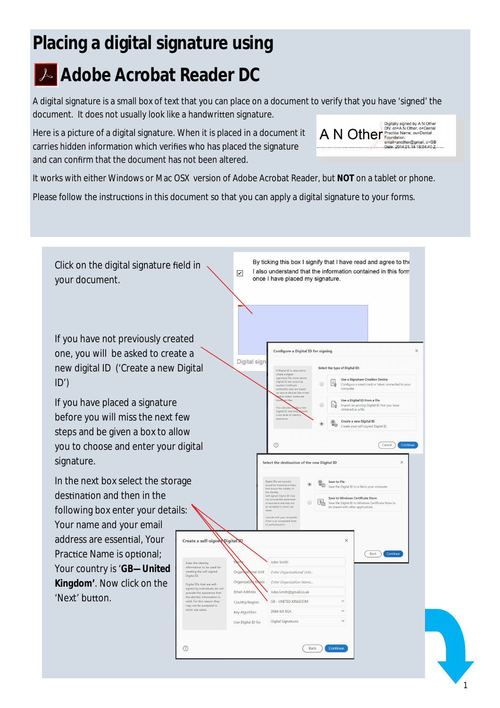## **Placing a digital signature using**

## **Adobe Acrobat Reader DC**

A digital signature is a small box of text that you can place on a document to verify that you have 'signed' the document. It does not usually look like a handwritten signature.  $A \text{ N}$  Other that  $\sum_{\text{P} \text{Pactical}} \frac{\text{Digitally signed by A N Other}}{\text{Pautical-}}$ 

Here is a picture of a digital signature. When it is placed in a document it carries hidden information which verifies who has placed the signature and can confirm that the document has not been altered.

It works with either Windows or Mac OSX version of Adobe Acrobat Reader, but **NOT** on a tablet or phone.

Please follow the instructions in this document so that you can apply a digital signature to your forms.